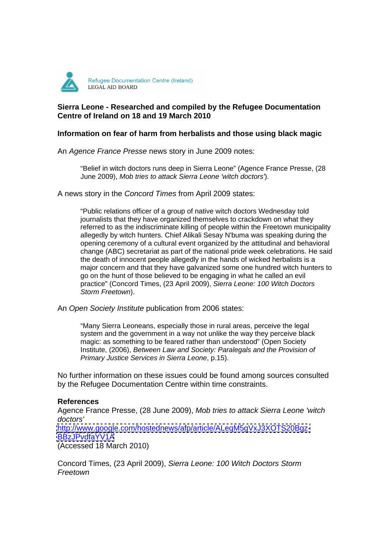

## **Sierra Leone - Researched and compiled by the Refugee Documentation Centre of Ireland on 18 and 19 March 2010**

## **Information on fear of harm from herbalists and those using black magic**

An Agence France Presse news story in June 2009 notes:

"Belief in witch doctors runs deep in Sierra Leone" (Agence France Presse, (28 June 2009), Mob tries to attack Sierra Leone 'witch doctors').

A news story in the Concord Times from April 2009 states:

"Public relations officer of a group of native witch doctors Wednesday told journalists that they have organized themselves to crackdown on what they referred to as the indiscriminate killing of people within the Freetown municipality allegedly by witch hunters. Chief Alikali Sesay N'buma was speaking during the opening ceremony of a cultural event organized by the attitudinal and behavioral change (ABC) secretariat as part of the national pride week celebrations. He said the death of innocent people allegedly in the hands of wicked herbalists is a major concern and that they have galvanized some one hundred witch hunters to go on the hunt of those believed to be engaging in what he called an evil practice" (Concord Times, (23 April 2009), Sierra Leone: 100 Witch Doctors Storm Freetown).

An Open Society Institute publication from 2006 states:

"Many Sierra Leoneans, especially those in rural areas, perceive the legal system and the government in a way not unlike the way they perceive black magic: as something to be feared rather than understood" (Open Society Institute, (2006), Between Law and Society: Paralegals and the Provision of Primary Justice Services in Sierra Leone, p.15).

No further information on these issues could be found among sources consulted by the Refugee Documentation Centre within time constraints.

## **References**

Agence France Presse, (28 June 2009), Mob tries to attack Sierra Leone 'witch doctors' <http://www.google.com/hostednews/afp/article/ALeqM5gVxJ3XOTS20Bgz-> <BBzJPvdfaYV1A>

(Accessed 18 March 2010)

Concord Times, (23 April 2009), Sierra Leone: 100 Witch Doctors Storm Freetown